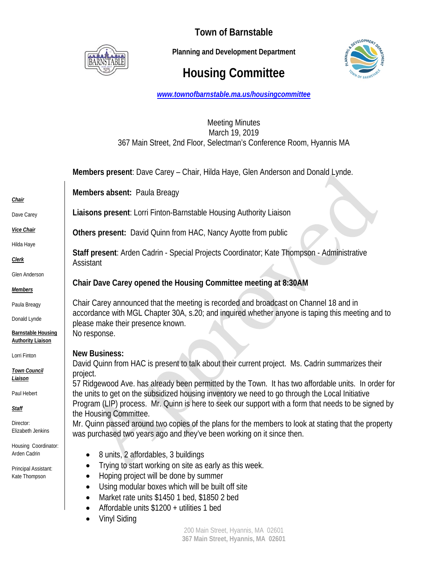

**Town of Barnstable** 

 **Planning and Development Department**

# **Housing Committee**



*www.townofbarnstable.ma.us/housingcommittee*

## Meeting Minutes March 19, 2019 367 Main Street, 2nd Floor, Selectman's Conference Room, Hyannis MA

|                                                       | Members present: Dave Carey - Chair, Hilda Haye, Glen Anderson and Donald Lynde.                                                      |
|-------------------------------------------------------|---------------------------------------------------------------------------------------------------------------------------------------|
|                                                       | Members absent: Paula Breagy                                                                                                          |
| <u>Chair</u>                                          |                                                                                                                                       |
| Dave Carey                                            | Liaisons present: Lorri Finton-Barnstable Housing Authority Liaison                                                                   |
| <b>Vice Chair</b>                                     | Others present: David Quinn from HAC, Nancy Ayotte from public                                                                        |
| Hilda Haye                                            |                                                                                                                                       |
| <b>Clerk</b>                                          | Staff present: Arden Cadrin - Special Projects Coordinator; Kate Thompson - Administrative<br>Assistant                               |
| Glen Anderson                                         |                                                                                                                                       |
| <b>Members</b>                                        | Chair Dave Carey opened the Housing Committee meeting at 8:30AM                                                                       |
| Paula Breagy                                          | Chair Carey announced that the meeting is recorded and broadcast on Channel 18 and in                                                 |
| Donald Lynde                                          | accordance with MGL Chapter 30A, s.20; and inquired whether anyone is taping this meeting and to<br>please make their presence known. |
| <b>Barnstable Housing</b><br><b>Authority Liaison</b> | No response.                                                                                                                          |
| Lorri Finton                                          | <b>New Business:</b>                                                                                                                  |
| <b>Town Council</b>                                   | David Quinn from HAC is present to talk about their current project. Ms. Cadrin summarizes their                                      |
| <u>Liaison</u>                                        | project.<br>57 Ridgewood Ave. has already been permitted by the Town. It has two affordable units. In order for                       |
| Paul Hebert                                           | the units to get on the subsidized housing inventory we need to go through the Local Initiative                                       |
| <u>Staff</u>                                          | Program (LIP) process. Mr. Quinn is here to seek our support with a form that needs to be signed by<br>the Housing Committee.         |
| Director:<br>Elizabeth Jenkins                        | Mr. Quinn passed around two copies of the plans for the members to look at stating that the property                                  |
|                                                       | was purchased two years ago and they've been working on it since then.                                                                |
| Housing Coordinator:<br>Arden Cadrin                  | 8 units, 2 affordables, 3 buildings<br>$\bullet$                                                                                      |
| Principal Assistant:                                  | Trying to start working on site as early as this week.                                                                                |
| Kate Thompson                                         | Hoping project will be done by summer                                                                                                 |
|                                                       | Using modular boxes which will be built off site                                                                                      |
|                                                       | Market rate units \$1450 1 bed, \$1850 2 bed                                                                                          |
|                                                       | Affordable units \$1200 + utilities 1 bed                                                                                             |
|                                                       | <b>Vinyl Siding</b>                                                                                                                   |
| 200 Main Street, Hyannis, MA 02601                    |                                                                                                                                       |

**367 Main Street, Hyannis, MA 02601**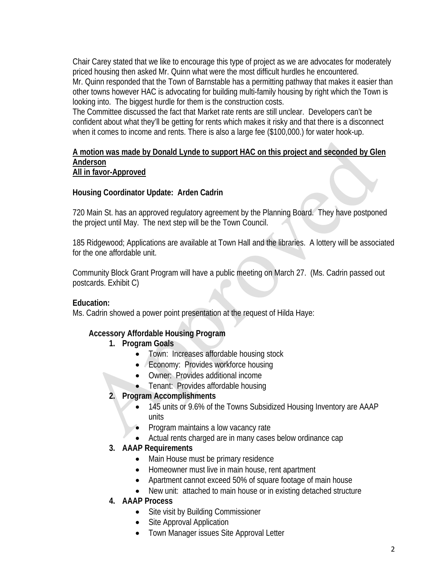Chair Carey stated that we like to encourage this type of project as we are advocates for moderately priced housing then asked Mr. Quinn what were the most difficult hurdles he encountered. Mr. Quinn responded that the Town of Barnstable has a permitting pathway that makes it easier than other towns however HAC is advocating for building multi-family housing by right which the Town is looking into. The biggest hurdle for them is the construction costs.

The Committee discussed the fact that Market rate rents are still unclear. Developers can't be confident about what they'll be getting for rents which makes it risky and that there is a disconnect when it comes to income and rents. There is also a large fee (\$100,000.) for water hook-up.

#### **A motion was made by Donald Lynde to support HAC on this project and seconded by Glen Anderson All in favor-Approved**

## **Housing Coordinator Update: Arden Cadrin**

720 Main St. has an approved regulatory agreement by the Planning Board. They have postponed the project until May. The next step will be the Town Council.

185 Ridgewood; Applications are available at Town Hall and the libraries. A lottery will be associated for the one affordable unit.

Community Block Grant Program will have a public meeting on March 27. (Ms. Cadrin passed out postcards. Exhibit C)

### **Education:**

Ms. Cadrin showed a power point presentation at the request of Hilda Haye:

# **Accessory Affordable Housing Program**

### **1. Program Goals**

- Town: Increases affordable housing stock
- Economy: Provides workforce housing
- Owner: Provides additional income
- Tenant: Provides affordable housing

# **2. Program Accomplishments**

- 145 units or 9.6% of the Towns Subsidized Housing Inventory are AAAP units
- Program maintains a low vacancy rate
- Actual rents charged are in many cases below ordinance cap

# **3. AAAP Requirements**

- Main House must be primary residence
- Homeowner must live in main house, rent apartment
- Apartment cannot exceed 50% of square footage of main house
- New unit: attached to main house or in existing detached structure

### **4. AAAP Process**

- Site visit by Building Commissioner
- Site Approval Application
- Town Manager issues Site Approval Letter